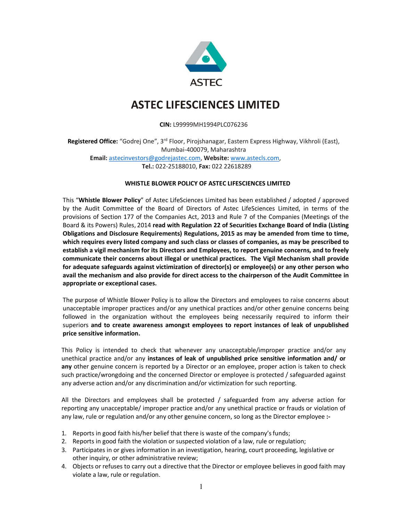

## ASTEC LIFESCIENCES LIMITED

## CIN: L99999MH1994PLC076236

Registered Office: "Godrej One", 3rd Floor, Pirojshanagar, Eastern Express Highway, Vikhroli (East), Mumbai-400079, Maharashtra Email: astecinvestors@godrejastec.com, Website: www.astecls.com, Tel.: 022-25188010, Fax: 022 22618289

## WHISTLE BLOWER POLICY OF ASTEC LIFESCIENCES LIMITED

This "Whistle Blower Policy" of Astec LifeSciences Limited has been established / adopted / approved by the Audit Committee of the Board of Directors of Astec LifeSciences Limited, in terms of the provisions of Section 177 of the Companies Act, 2013 and Rule 7 of the Companies (Meetings of the Board & its Powers) Rules, 2014 read with Regulation 22 of Securities Exchange Board of India (Listing Obligations and Disclosure Requirements) Regulations, 2015 as may be amended from time to time, which requires every listed company and such class or classes of companies, as may be prescribed to establish a vigil mechanism for its Directors and Employees, to report genuine concerns, and to freely communicate their concerns about illegal or unethical practices. The Vigil Mechanism shall provide for adequate safeguards against victimization of director(s) or employee(s) or any other person who avail the mechanism and also provide for direct access to the chairperson of the Audit Committee in appropriate or exceptional cases.

The purpose of Whistle Blower Policy is to allow the Directors and employees to raise concerns about unacceptable improper practices and/or any unethical practices and/or other genuine concerns being followed in the organization without the employees being necessarily required to inform their superiors and to create awareness amongst employees to report instances of leak of unpublished price sensitive information.

This Policy is intended to check that whenever any unacceptable/improper practice and/or any unethical practice and/or any instances of leak of unpublished price sensitive information and/ or any other genuine concern is reported by a Director or an employee, proper action is taken to check such practice/wrongdoing and the concerned Director or employee is protected / safeguarded against any adverse action and/or any discrimination and/or victimization for such reporting.

All the Directors and employees shall be protected / safeguarded from any adverse action for reporting any unacceptable/ improper practice and/or any unethical practice or frauds or violation of any law, rule or regulation and/or any other genuine concern, so long as the Director employee :-

- 1. Reports in good faith his/her belief that there is waste of the company's funds;
- 2. Reports in good faith the violation or suspected violation of a law, rule or regulation;
- 3. Participates in or gives information in an investigation, hearing, court proceeding, legislative or other inquiry, or other administrative review;
- 4. Objects or refuses to carry out a directive that the Director or employee believes in good faith may violate a law, rule or regulation.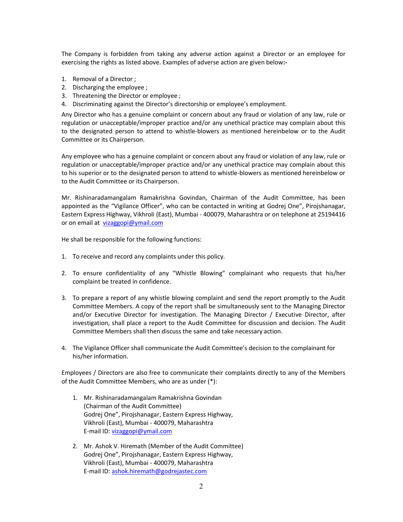The Company is forbidden from taking any adverse action against a Director or an employee for exercising the rights as listed above. Examples of adverse action are given below:-

- 1. Removal of a Director ;
- 2. Discharging the employee ;
- 3. Threatening the Director or employee ;
- 4. Discriminating against the Director's directorship or employee's employment.

Any Director who has a genuine complaint or concern about any fraud or violation of any law, rule or regulation or unacceptable/improper practice and/or any unethical practice may complain about this to the designated person to attend to whistle-blowers as mentioned hereinbelow or to the Audit Committee or its Chairperson.

Any employee who has a genuine complaint or concern about any fraud or violation of any law, rule or regulation or unacceptable/improper practice and/or any unethical practice may complain about this to his superior or to the designated person to attend to whistle-blowers as mentioned hereinbelow or to the Audit Committee or its Chairperson.

Mr. Rishinaradamangalam Ramakrishna Govindan, Chairman of the Audit Committee, has been appointed as the "Vigilance Officer", who can be contacted in writing at Godrej One", Pirojshanagar, Eastern Express Highway, Vikhroli (East), Mumbai - 400079, Maharashtra or on telephone at 25194416 or on email at vizaggopi@ymail.com

He shall be responsible for the following functions:

- 1. To receive and record any complaints under this policy.
- 2. To ensure confidentiality of any "Whistle Blowing" complainant who requests that his/her complaint be treated in confidence.
- 3. To prepare a report of any whistle blowing complaint and send the report promptly to the Audit Committee Members. A copy of the report shall be simultaneously sent to the Managing Director and/or Executive Director for investigation. The Managing Director / Executive Director, after investigation, shall place a report to the Audit Committee for discussion and decision. The Audit Committee Members shall then discuss the same and take necessary action.
- 4. The Vigilance Officer shall communicate the Audit Committee's decision to the complainant for his/her information.

Employees / Directors are also free to communicate their complaints directly to any of the Members of the Audit Committee Members, who are as under (\*):

- 1. Mr. Rishinaradamangalam Ramakrishna Govindan (Chairman of the Audit Committee) Godrej One", Pirojshanagar, Eastern Express Highway, Vikhroli (East), Mumbai - 400079, Maharashtra E-mail ID: vizaggopi@ymail.com
- 2. Mr. Ashok V. Hiremath (Member of the Audit Committee) Godrej One", Pirojshanagar, Eastern Express Highway, Vikhroli (East), Mumbai - 400079, Maharashtra E-mail ID: ashok.hiremath@godrejastec.com